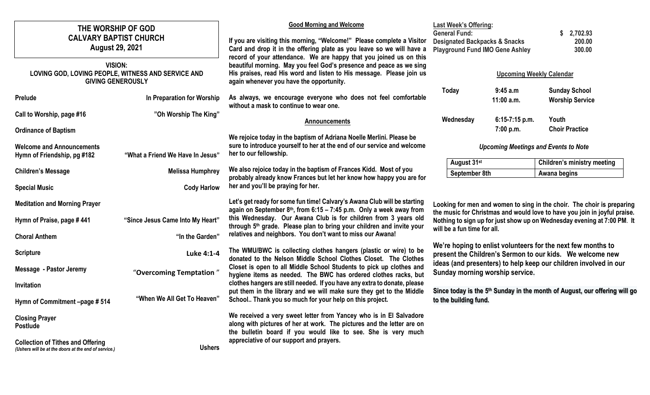| THE WORSHIP OF GOD<br><b>CALVARY BAPTIST CHURCH</b><br><b>August 29, 2021</b><br><b>VISION:</b><br>LOVING GOD, LOVING PEOPLE, WITNESS AND SERVICE AND |                                  | <b>Good Morning and Welcome</b><br>If you are visiting this morning, "Welcome!" Please complete a Visitor<br>Card and drop it in the offering plate as you leave so we will have a<br>record of your attendance. We are happy that you joined us on this<br>beautiful morning. May you feel God's presence and peace as we sing<br>His praises, read His word and listen to His message. Please join us            | <b>Last Week's Offering:</b><br><b>General Fund:</b><br><b>Designated Backpacks &amp; Snacks</b><br><b>Playground Fund IMO Gene Ashley</b><br><b>Upcoming Weekly Calendar</b> |                                                                                                     | 2,702.93<br>200.00<br>300.00                                                           |  |
|-------------------------------------------------------------------------------------------------------------------------------------------------------|----------------------------------|--------------------------------------------------------------------------------------------------------------------------------------------------------------------------------------------------------------------------------------------------------------------------------------------------------------------------------------------------------------------------------------------------------------------|-------------------------------------------------------------------------------------------------------------------------------------------------------------------------------|-----------------------------------------------------------------------------------------------------|----------------------------------------------------------------------------------------|--|
| <b>GIVING GENEROUSLY</b>                                                                                                                              |                                  | again whenever you have the opportunity.                                                                                                                                                                                                                                                                                                                                                                           | <b>Today</b>                                                                                                                                                                  | 9:45a.m                                                                                             | <b>Sunday School</b>                                                                   |  |
| <b>Prelude</b>                                                                                                                                        | In Preparation for Worship       | As always, we encourage everyone who does not feel comfortable<br>without a mask to continue to wear one.                                                                                                                                                                                                                                                                                                          |                                                                                                                                                                               | 11:00 a.m.                                                                                          | <b>Worship Service</b>                                                                 |  |
| Call to Worship, page #16                                                                                                                             | "Oh Worship The King"            | Announcements                                                                                                                                                                                                                                                                                                                                                                                                      | Wednesday                                                                                                                                                                     | 6:15-7:15 p.m.                                                                                      | Youth                                                                                  |  |
| <b>Ordinance of Baptism</b>                                                                                                                           |                                  |                                                                                                                                                                                                                                                                                                                                                                                                                    |                                                                                                                                                                               | 7:00 p.m.                                                                                           | <b>Choir Practice</b>                                                                  |  |
| <b>Welcome and Announcements</b><br>Hymn of Friendship, pg #182                                                                                       | "What a Friend We Have In Jesus" | We rejoice today in the baptism of Adriana Noelle Merlini. Please be<br>sure to introduce yourself to her at the end of our service and welcome<br>her to our fellowship.                                                                                                                                                                                                                                          | <b>Upcoming Meetings and Events to Note</b>                                                                                                                                   |                                                                                                     |                                                                                        |  |
| <b>Children's Message</b>                                                                                                                             | <b>Melissa Humphrey</b>          | We also rejoice today in the baptism of Frances Kidd. Most of you                                                                                                                                                                                                                                                                                                                                                  | August 31st<br>September 8th                                                                                                                                                  |                                                                                                     | <b>Children's ministry meeting</b><br>Awana begins                                     |  |
| <b>Special Music</b>                                                                                                                                  | <b>Cody Harlow</b>               | probably already know Frances but let her know how happy you are for<br>her and you'll be praying for her.                                                                                                                                                                                                                                                                                                         |                                                                                                                                                                               |                                                                                                     |                                                                                        |  |
| <b>Meditation and Morning Prayer</b>                                                                                                                  |                                  | Let's get ready for some fun time! Calvary's Awana Club will be starting                                                                                                                                                                                                                                                                                                                                           | Looking for men and women to sing in the choir. The choir is preparing                                                                                                        |                                                                                                     |                                                                                        |  |
| Hymn of Praise, page #441                                                                                                                             | "Since Jesus Came Into My Heart" | again on September 8th, from 6:15 - 7:45 p.m. Only a week away from<br>the music for Christmas and would love to have you join in joyful praise.<br>this Wednesday. Our Awana Club is for children from 3 years old<br>Nothing to sign up for just show up on Wednesday evening at 7:00 PM. It<br>through 5 <sup>th</sup> grade. Please plan to bring your children and invite your<br>will be a fun time for all. |                                                                                                                                                                               |                                                                                                     |                                                                                        |  |
| <b>Choral Anthem</b>                                                                                                                                  | "In the Garden"                  | relatives and neighbors. You don't want to miss our Awana!                                                                                                                                                                                                                                                                                                                                                         |                                                                                                                                                                               |                                                                                                     |                                                                                        |  |
| <b>Scripture</b>                                                                                                                                      | Luke 4:1-4                       | The WMU/BWC is collecting clothes hangers (plastic or wire) to be<br>donated to the Nelson Middle School Clothes Closet. The Clothes                                                                                                                                                                                                                                                                               | We're hoping to enlist volunteers for the next few months to<br>present the Children's Sermon to our kids. We welcome new                                                     |                                                                                                     |                                                                                        |  |
| Message - Pastor Jeremy                                                                                                                               | "Overcoming Temptation"          | Closet is open to all Middle School Students to pick up clothes and<br>hygiene items as needed. The BWC has ordered clothes racks, but                                                                                                                                                                                                                                                                             |                                                                                                                                                                               | ideas (and presenters) to help keep our children involved in our<br>Sunday morning worship service. |                                                                                        |  |
| Invitation                                                                                                                                            |                                  | clothes hangers are still needed. If you have any extra to donate, please                                                                                                                                                                                                                                                                                                                                          |                                                                                                                                                                               |                                                                                                     |                                                                                        |  |
| Hymn of Commitment-page #514                                                                                                                          | "When We All Get To Heaven"      | put them in the library and we will make sure they get to the Middle<br>School Thank you so much for your help on this project.                                                                                                                                                                                                                                                                                    | to the building fund.                                                                                                                                                         |                                                                                                     | Since today is the 5 <sup>th</sup> Sunday in the month of August, our offering will go |  |
| <b>Closing Prayer</b><br><b>Postlude</b>                                                                                                              |                                  | We received a very sweet letter from Yancey who is in El Salvadore<br>along with pictures of her at work. The pictures and the letter are on<br>the bulletin board if you would like to see. She is very much                                                                                                                                                                                                      |                                                                                                                                                                               |                                                                                                     |                                                                                        |  |
| <b>Collection of Tithes and Offering</b><br>(Ushers will be at the doors at the end of service.)                                                      | <b>Ushers</b>                    | appreciative of our support and prayers.                                                                                                                                                                                                                                                                                                                                                                           |                                                                                                                                                                               |                                                                                                     |                                                                                        |  |